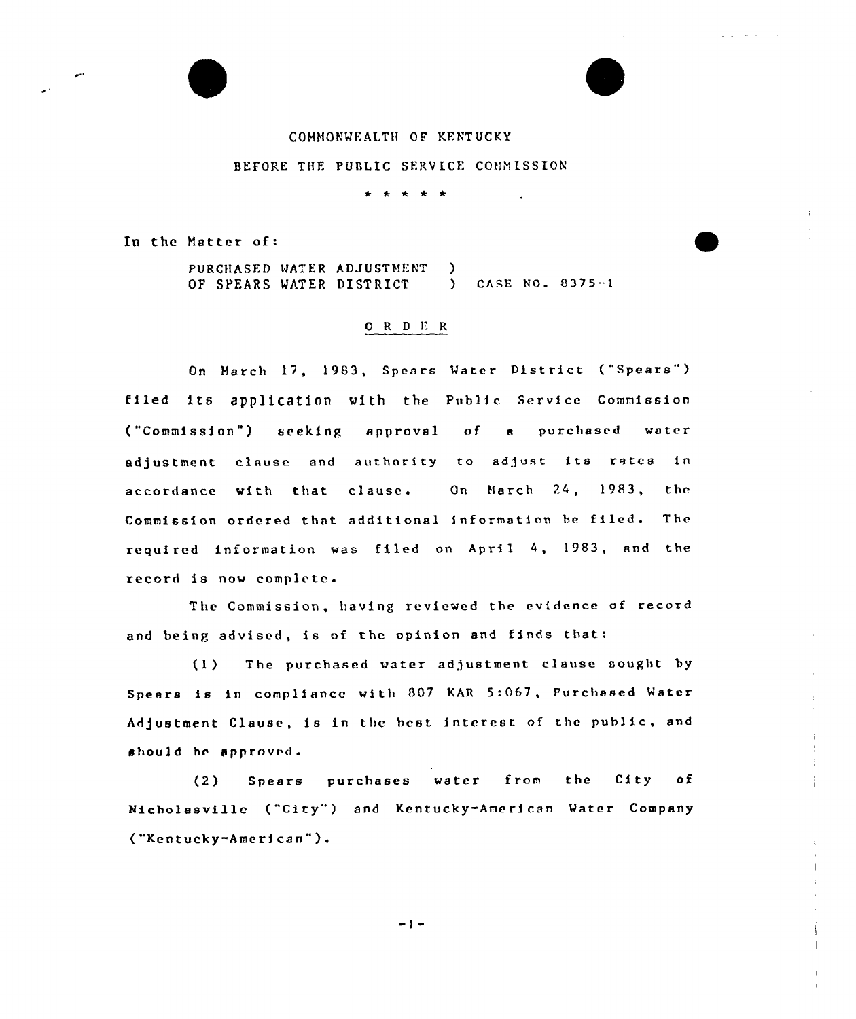

In the Matter of:

PURCHASED WATER ADJUSTMENT OF SPEARS WATER DISTRICT ) ) CASE NO. 8375—<sup>1</sup>

#### O R D E R

On March 17, 1983, Spears Water District ("Spears") filed its application with the Public Service Commission ("Commission") seeking approval of a purchased water adjustment clause and authority to adjust its rates in accordance with that clause. On March 24, 1983, thc Commission ordered that additional information be filed. The required information vas filed on April 4, 1983, and the record is nov complete.

The Commission, having reviewed the evidence of record and being advised, is of thc opinion and finds that:

(1) The purchased vater adjustment clause sought by Spears is in compliance with 807 KAR 5:067, Purchased Water Adjustment Clause, is in the best interest of the public, and should he approved.

(2) Spears purchases vatcr from the City of Nicholasvillc ("City" ) and Kentucky-American Water Company ("Kentucky-American").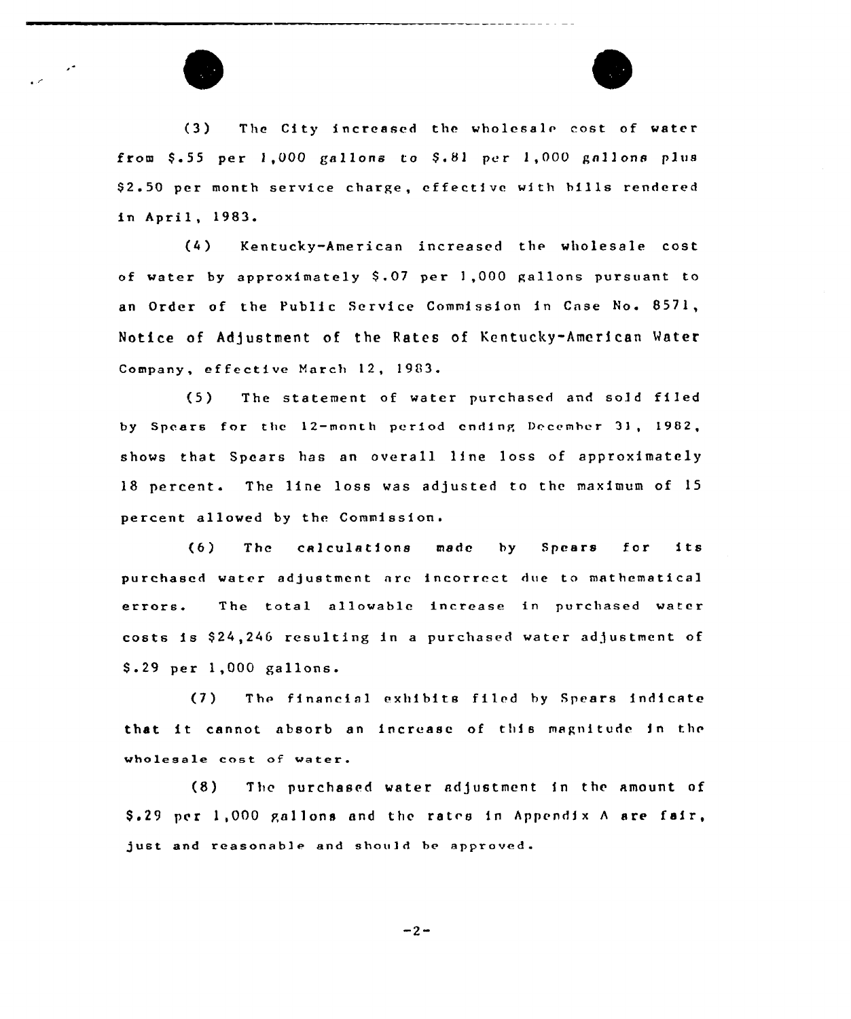



(3) The City increased the wholesale cost of water from  $$.55$  per  $1,000$  gallons to  $$.81$  per  $1,000$  gallons plus \$2.50 per month service charge, effective with bills rendered in April, 1983.

(4) Kentucky-American increased the wholesa1e cost of water by approximately \$.07 per  $1,000$  gallons pursuant to an Order of the Public Service Commission in Case No. 8571, Notice of Adjustment of the Rates of Kentucky-American Mater Company, ef fective March 12, 1983.

(5) The statement of water purchased and sold fiIed by Spears for the <sup>12</sup>—month period ending December 3), 1902, shows that Spears has an overall line loss of approximately 18 percent. The line loss was adjusted to the maximum of 15 percent allowed by the Commission.

(6) The calculations made by Spears for its purchased water adjustment nrc incorrect dve to mathematical errors. The total allowable increase in purchased water costs is \$ 24,246 resulting in <sup>a</sup> purchased water adjustment of \$ .29 per 1,000 gallons.

(7) The financial exhibits filed by Spears indicate that it cannot. absorb an increase of this magnitude in the wholesale cost of water.

(8) The purchased water adjustment in the amount of  $$.29$  per 1,000 gallons and the rates in Appendix A are fair, just and reasonable and should be approved.

 $-2-$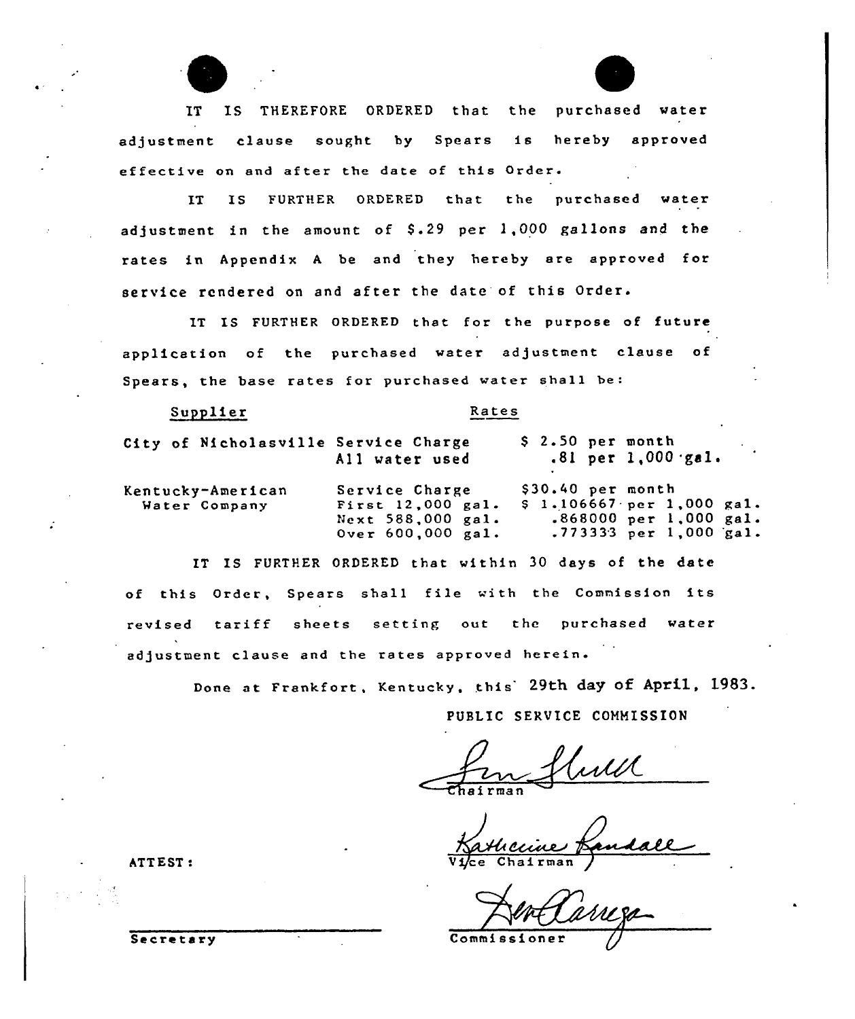IT IS THEREFORE ORDERED that the purchased water adjustment clause sought by Spears is hereby approved effective on and after the date of this Order.

IT IS FURTHER ORDERED that the purchased water adjustment in the amount of  $$.29$  per  $1,000$  gallons and the rates in Appendix <sup>A</sup> be and they hereby are approved for service rendered on and after the date of this Order.

IT IS FURTHER ORDERED that for the purpose of future application of the purchased water adjustment clause of Spears, the base rates for purchased water shall be:

Supplier Rates

| and the contract of the components of the contract of |                                                                               |                                                                                                       |
|-------------------------------------------------------|-------------------------------------------------------------------------------|-------------------------------------------------------------------------------------------------------|
| City of Nicholasville Service Charge                  | All water used                                                                | $$2.50$ per month<br>$.81$ per 1,000 gal.                                                             |
| Kentucky-American<br>Water Company                    | Service Charge<br>First 12,000 gal.<br>Next 588,000 gal.<br>Over 600,000 gal. | $$30.40$ per month<br>\$1.106667 per 1,000 gal.<br>$.868000$ per 1,000 gal.<br>.773333 per 1,000 gal. |

IT IS FURTHER ORDERED that within 30 days of the date of this Order, Spears shall file with the Commission its revised tariff sheets setting out the purchased water adjustment clause and the rates approved herein.

Done at Frankfort, Kentucky, this 29th day of April, 1983.

PUBLIC SERVICE COMMISSION

ATTEST:  $\overrightarrow{Vj_{\text{ce}}}\overrightarrow{Vj_{\text{ce}}}\overrightarrow{C}$ 

Secretary Commissioner Q